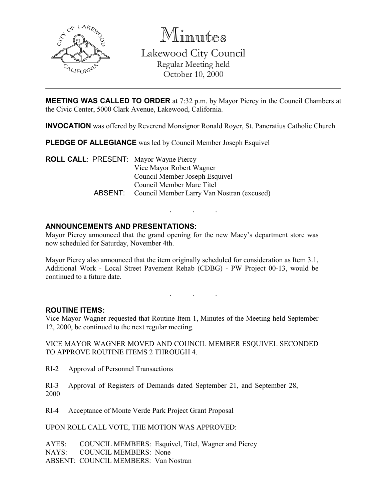

Minutes

Lakewood City Council Regular Meeting held October 10, 2000

MEETING WAS CALLED TO ORDER at 7:32 p.m. by Mayor Piercy in the Council Chambers at the Civic Center, 5000 Clark Avenue, Lakewood, California.

INVOCATION was offered by Reverend Monsignor Ronald Royer, St. Pancratius Catholic Church

PLEDGE OF ALLEGIANCE was led by Council Member Joseph Esquivel

ROLL CALL: PRESENT: Mayor Wayne Piercy Vice Mayor Robert Wagner Council Member Joseph Esquivel Council Member Marc Titel ABSENT: Council Member Larry Van Nostran (excused)

# ANNOUNCEMENTS AND PRESENTATIONS:

Mayor Piercy announced that the grand opening for the new Macy's department store was now scheduled for Saturday, November 4th.

. . .

Mayor Piercy also announced that the item originally scheduled for consideration as Item 3.1, Additional Work - Local Street Pavement Rehab (CDBG) - PW Project 00-13, would be continued to a future date.

. . .

## ROUTINE ITEMS:

Vice Mayor Wagner requested that Routine Item 1, Minutes of the Meeting held September 12, 2000, be continued to the next regular meeting.

VICE MAYOR WAGNER MOVED AND COUNCIL MEMBER ESQUIVEL SECONDED TO APPROVE ROUTINE ITEMS 2 THROUGH 4.

RI-2 Approval of Personnel Transactions

RI-3 Approval of Registers of Demands dated September 21, and September 28, 2000

RI-4 Acceptance of Monte Verde Park Project Grant Proposal

UPON ROLL CALL VOTE, THE MOTION WAS APPROVED:

AYES: COUNCIL MEMBERS: Esquivel, Titel, Wagner and Piercy NAYS: COUNCIL MEMBERS: None ABSENT: COUNCIL MEMBERS: Van Nostran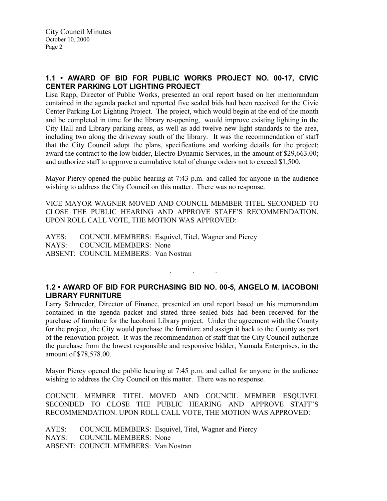# 1.1 • AWARD OF BID FOR PUBLIC WORKS PROJECT NO. 00-17, CIVIC CENTER PARKING LOT LIGHTING PROJECT

Lisa Rapp, Director of Public Works, presented an oral report based on her memorandum contained in the agenda packet and reported five sealed bids had been received for the Civic Center Parking Lot Lighting Project. The project, which would begin at the end of the month and be completed in time for the library re-opening, would improve existing lighting in the City Hall and Library parking areas, as well as add twelve new light standards to the area, including two along the driveway south of the library. It was the recommendation of staff that the City Council adopt the plans, specifications and working details for the project; award the contract to the low bidder, Electro Dynamic Services, in the amount of \$29,663.00; and authorize staff to approve a cumulative total of change orders not to exceed \$1,500.

Mayor Piercy opened the public hearing at 7:43 p.m. and called for anyone in the audience wishing to address the City Council on this matter. There was no response.

VICE MAYOR WAGNER MOVED AND COUNCIL MEMBER TITEL SECONDED TO CLOSE THE PUBLIC HEARING AND APPROVE STAFF'S RECOMMENDATION. UPON ROLL CALL VOTE, THE MOTION WAS APPROVED:

AYES: COUNCIL MEMBERS: Esquivel, Titel, Wagner and Piercy NAYS: COUNCIL MEMBERS: None ABSENT: COUNCIL MEMBERS: Van Nostran

## 1.2 • AWARD OF BID FOR PURCHASING BID NO. 00-5, ANGELO M. IACOBONI LIBRARY FURNITURE

. . .

Larry Schroeder, Director of Finance, presented an oral report based on his memorandum contained in the agenda packet and stated three sealed bids had been received for the purchase of furniture for the Iacoboni Library project. Under the agreement with the County for the project, the City would purchase the furniture and assign it back to the County as part of the renovation project. It was the recommendation of staff that the City Council authorize the purchase from the lowest responsible and responsive bidder, Yamada Enterprises, in the amount of \$78,578.00.

Mayor Piercy opened the public hearing at 7:45 p.m. and called for anyone in the audience wishing to address the City Council on this matter. There was no response.

COUNCIL MEMBER TITEL MOVED AND COUNCIL MEMBER ESQUIVEL SECONDED TO CLOSE THE PUBLIC HEARING AND APPROVE STAFF'S RECOMMENDATION. UPON ROLL CALL VOTE, THE MOTION WAS APPROVED:

AYES: COUNCIL MEMBERS: Esquivel, Titel, Wagner and Piercy NAYS: COUNCIL MEMBERS: None ABSENT: COUNCIL MEMBERS: Van Nostran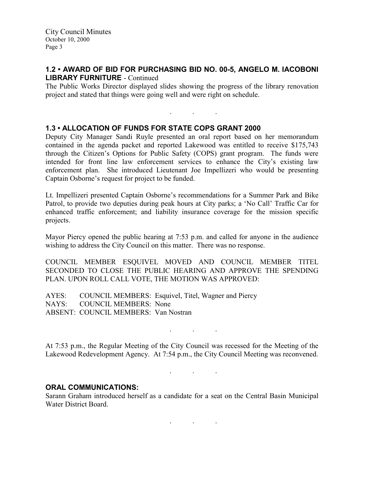City Council Minutes October 10, 2000 Page 3

#### 1.2 • AWARD OF BID FOR PURCHASING BID NO. 00-5, ANGELO M. IACOBONI LIBRARY FURNITURE - Continued

The Public Works Director displayed slides showing the progress of the library renovation project and stated that things were going well and were right on schedule.

. . .

1.3 • ALLOCATION OF FUNDS FOR STATE COPS GRANT 2000

Deputy City Manager Sandi Ruyle presented an oral report based on her memorandum contained in the agenda packet and reported Lakewood was entitled to receive \$175,743 through the Citizen's Options for Public Safety (COPS) grant program. The funds were intended for front line law enforcement services to enhance the City's existing law enforcement plan. She introduced Lieutenant Joe Impellizeri who would be presenting Captain Osborne's request for project to be funded.

Lt. Impellizeri presented Captain Osborne's recommendations for a Summer Park and Bike Patrol, to provide two deputies during peak hours at City parks; a 'No Call' Traffic Car for enhanced traffic enforcement; and liability insurance coverage for the mission specific projects.

Mayor Piercy opened the public hearing at 7:53 p.m. and called for anyone in the audience wishing to address the City Council on this matter. There was no response.

COUNCIL MEMBER ESQUIVEL MOVED AND COUNCIL MEMBER TITEL SECONDED TO CLOSE THE PUBLIC HEARING AND APPROVE THE SPENDING PLAN. UPON ROLL CALL VOTE, THE MOTION WAS APPROVED:

AYES: COUNCIL MEMBERS: Esquivel, Titel, Wagner and Piercy NAYS: COUNCIL MEMBERS: None ABSENT: COUNCIL MEMBERS: Van Nostran

At 7:53 p.m., the Regular Meeting of the City Council was recessed for the Meeting of the Lakewood Redevelopment Agency. At 7:54 p.m., the City Council Meeting was reconvened.

. . .

. . .

## ORAL COMMUNICATIONS:

Sarann Graham introduced herself as a candidate for a seat on the Central Basin Municipal Water District Board.

. . .